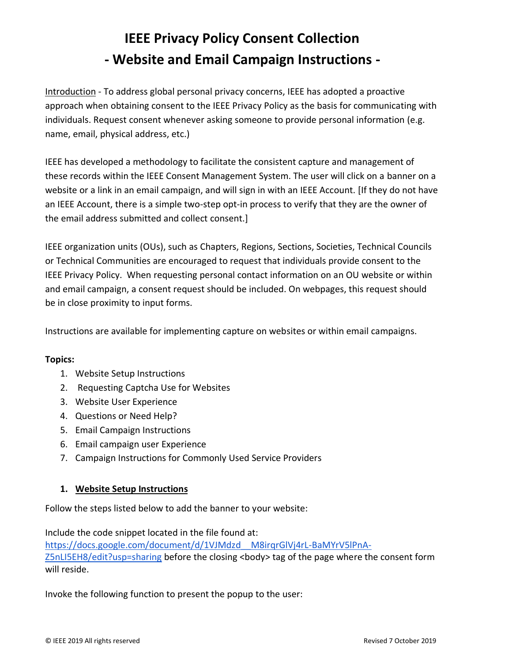# **IEEE Privacy Policy Consent Collection - Website and Email Campaign Instructions -**

Introduction - To address global personal privacy concerns, IEEE has adopted a proactive approach when obtaining consent to the IEEE Privacy Policy as the basis for communicating with individuals. Request consent whenever asking someone to provide personal information (e.g. name, email, physical address, etc.)

IEEE has developed a methodology to facilitate the consistent capture and management of these records within the IEEE Consent Management System. The user will click on a banner on a website or a link in an email campaign, and will sign in with an IEEE Account. [If they do not have an IEEE Account, there is a simple two-step opt-in process to verify that they are the owner of the email address submitted and collect consent.]

IEEE organization units (OUs), such as Chapters, Regions, Sections, Societies, Technical Councils or Technical Communities are encouraged to request that individuals provide consent to the IEEE Privacy Policy. When requesting personal contact information on an OU website or within and email campaign, a consent request should be included. On webpages, this request should be in close proximity to input forms.

Instructions are available for implementing capture on websites or within email campaigns.

## **Topics:**

- 1. Website Setup Instructions
- 2. Requesting Captcha Use for Websites
- 3. Website User Experience
- 4. Questions or Need Help?
- 5. Email Campaign Instructions
- 6. Email campaign user Experience
- 7. Campaign Instructions for Commonly Used Service Providers

## **1. Website Setup Instructions**

Follow the steps listed below to add the banner to your website:

Include the code snippet located in the file found at: [https://docs.google.com/document/d/1VJMdzd\\_\\_M8irqrGlVj4rL-BaMYrV5lPnA-](https://docs.google.com/document/d/1VJMdzd__M8irqrGlVj4rL-BaMYrV5lPnA-Z5nLI5EH8/edit?usp=sharing)[Z5nLI5EH8/edit?usp=sharing](https://docs.google.com/document/d/1VJMdzd__M8irqrGlVj4rL-BaMYrV5lPnA-Z5nLI5EH8/edit?usp=sharing) before the closing <body> tag of the page where the consent form will reside.

Invoke the following function to present the popup to the user: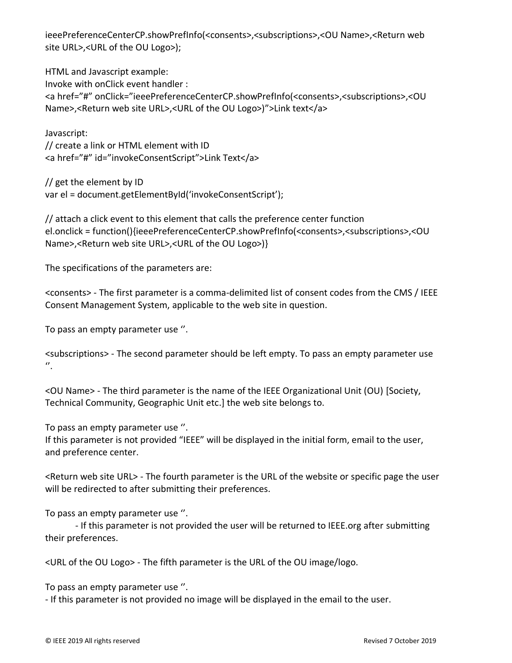ieeePreferenceCenterCP.showPrefInfo(<consents>,<subscriptions>,<OU Name>,<Return web site URL>,<URL of the OU Logo>);

HTML and Javascript example: Invoke with onClick event handler : <a href="#" onClick="ieeePreferenceCenterCP.showPrefInfo(<consents>,<subscriptions>,<OU Name>,<Return web site URL>,<URL of the OU Logo>)">Link text</a>

Javascript: // create a link or HTML element with ID <a href="#" id="invokeConsentScript">Link Text</a>

// get the element by ID var el = document.getElementById('invokeConsentScript');

// attach a click event to this element that calls the preference center function el.onclick = function(){ieeePreferenceCenterCP.showPrefInfo(<consents>,<subscriptions>,<OU Name>,<Return web site URL>,<URL of the OU Logo>)}

The specifications of the parameters are:

<consents> - The first parameter is a comma-delimited list of consent codes from the CMS / IEEE Consent Management System, applicable to the web site in question.

To pass an empty parameter use ''.

<subscriptions> - The second parameter should be left empty. To pass an empty parameter use  $^{\prime\prime}$ .

<OU Name> - The third parameter is the name of the IEEE Organizational Unit (OU) [Society, Technical Community, Geographic Unit etc.] the web site belongs to.

To pass an empty parameter use ''.

If this parameter is not provided "IEEE" will be displayed in the initial form, email to the user, and preference center.

<Return web site URL> - The fourth parameter is the URL of the website or specific page the user will be redirected to after submitting their preferences.

To pass an empty parameter use ''.

- If this parameter is not provided the user will be returned to IEEE.org after submitting their preferences.

<URL of the OU Logo> - The fifth parameter is the URL of the OU image/logo.

To pass an empty parameter use ''.

- If this parameter is not provided no image will be displayed in the email to the user.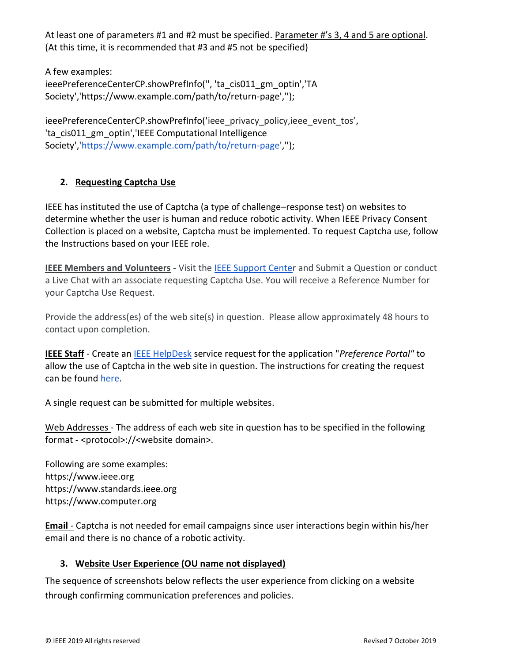At least one of parameters #1 and #2 must be specified. Parameter #'s 3, 4 and 5 are optional. (At this time, it is recommended that #3 and #5 not be specified)

A few examples: ieeePreferenceCenterCP.showPrefInfo(", 'ta\_cis011\_gm\_optin','TA Society','https://www.example.com/path/to/return-page','');

ieeePreferenceCenterCP.showPrefInfo('ieee\_privacy\_policy,ieee\_event\_tos', 'ta\_cis011\_gm\_optin','IEEE Computational Intelligence Society',['https://www.example.com/path/to/return-page'](https://tadev.ieee.org/cis),");

## **2. Requesting Captcha Use**

IEEE has instituted the use of Captcha (a type of challenge–response test) on websites to determine whether the user is human and reduce robotic activity. When IEEE Privacy Consent Collection is placed on a website, Captcha must be implemented. To request Captcha use, follow the Instructions based on your IEEE role.

**IEEE Members and Volunteers** - Visit the [IEEE Support Center](https://supportcenter.ieee.org/) and Submit a Question or conduct a Live Chat with an associate requesting Captcha Use. You will receive a Reference Number for your Captcha Use Request.

Provide the address(es) of the web site(s) in question. Please allow approximately 48 hours to contact upon completion.

**IEEE Staff** - Create an [IEEE HelpDesk](https://helpdesk.ieee.org/) service request for the application "*Preference Portal"* to allow the use of Captcha in the web site in question. The instructions for creating the request can be found [here.](https://docs.google.com/document/d/1acjpGGI8JCxlMVQGUIonNPwgsubG2fEGIda1P3TdT_U/edit?usp=sharing)

A single request can be submitted for multiple websites.

Web Addresses - The address of each web site in question has to be specified in the following format - <protocol>://<website domain>.

Following are some examples: https://www.ieee.org https://www.standards.ieee.org https://www.computer.org

**Email** - Captcha is not needed for email campaigns since user interactions begin within his/her email and there is no chance of a robotic activity.

## **3. Website User Experience (OU name not displayed)**

The sequence of screenshots below reflects the user experience from clicking on a website through confirming communication preferences and policies.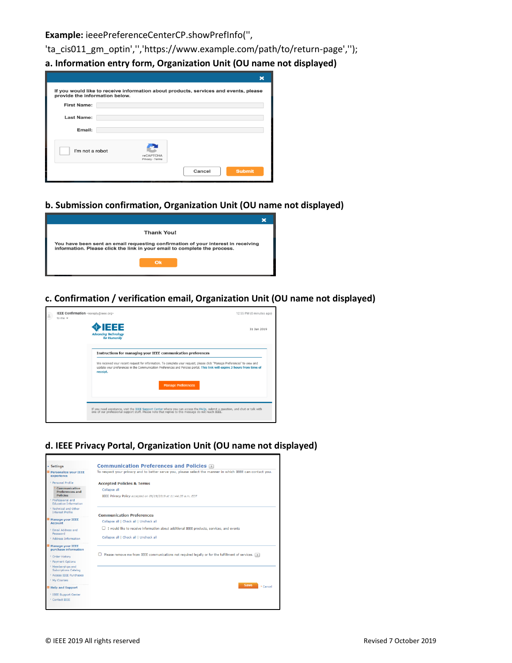**Example:** ieeePreferenceCenterCP.showPrefInfo('',

'ta\_cis011\_gm\_optin','','https://www.example.com/path/to/return-page','');

**a. Information entry form, Organization Unit (OU name not displayed)** 

| provide the information below. |                              | If you would like to receive information about products, services and events, please |
|--------------------------------|------------------------------|--------------------------------------------------------------------------------------|
| <b>First Name:</b>             |                              |                                                                                      |
| Last Name:                     |                              |                                                                                      |
| Email:                         |                              |                                                                                      |
| I'm not a robot                | reCAPTCHA<br>Privacy - Terms |                                                                                      |
|                                |                              | Cancel<br><b>Submit</b>                                                              |

## **b. Submission confirmation, Organization Unit (OU name not displayed)**

| <b>Thank You!</b>                                                                                                                                              |  |
|----------------------------------------------------------------------------------------------------------------------------------------------------------------|--|
| You have been sent an email requesting confirmation of your interest in receiving<br>information. Please click the link in your email to complete the process. |  |
| Ok                                                                                                                                                             |  |

**c. Confirmation / verification email, Organization Unit (OU name not displayed)**



**d. IEEE Privacy Portal, Organization Unit (OU name not displayed)** 

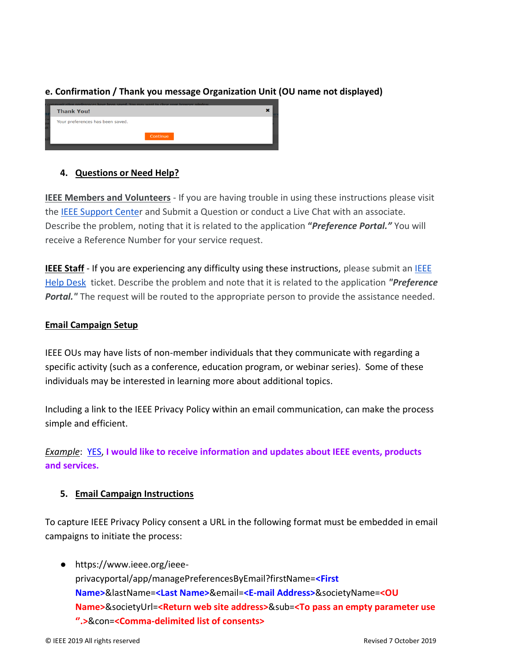## **e. Confirmation / Thank you message Organization Unit (OU name not displayed)**

| r communication preferences have been saved. You may want to close your browser window.<br><b>Thank You!</b> |  |
|--------------------------------------------------------------------------------------------------------------|--|
| Your preferences has been saved.<br>Continue                                                                 |  |

## **4. Questions or Need Help?**

**IEEE Members and Volunteers** - If you are having trouble in using these instructions please visit the [IEEE Support Center](https://supportcenter.ieee.org/) and Submit a Question or conduct a Live Chat with an associate. Describe the problem, noting that it is related to the application **"***Preference Portal."* You will receive a Reference Number for your service request.

**IEEE Staff** - If you are experiencing any difficulty using these instructions, please submit an IEEE [Help Desk](https://helpdesk.ieee.org/) ticket. Describe the problem and note that it is related to the application *"Preference*  **Portal.**" The request will be routed to the appropriate person to provide the assistance needed.

## **Email Campaign Setup**

IEEE OUs may have lists of non-member individuals that they communicate with regarding a specific activity (such as a conference, education program, or webinar series). Some of these individuals may be interested in learning more about additional topics.

Including a link to the IEEE Privacy Policy within an email communication, can make the process simple and efficient.

*Example*: YES, **I would like to receive information and updates about IEEE events, products and services.**

## **5. Email Campaign Instructions**

To capture IEEE Privacy Policy consent a URL in the following format must be embedded in email campaigns to initiate the process:

● https://www.ieee.org/ieeeprivacyportal/app/managePreferencesByEmail?firstName=**<First Name>**&lastName=**<Last Name>**&email=**<E-mail Address>**&societyName=**<OU Name>**&societyUrl=**<Return web site address>**&sub=**<To pass an empty parameter use ''.>**&con=**<Comma-delimited list of consents>**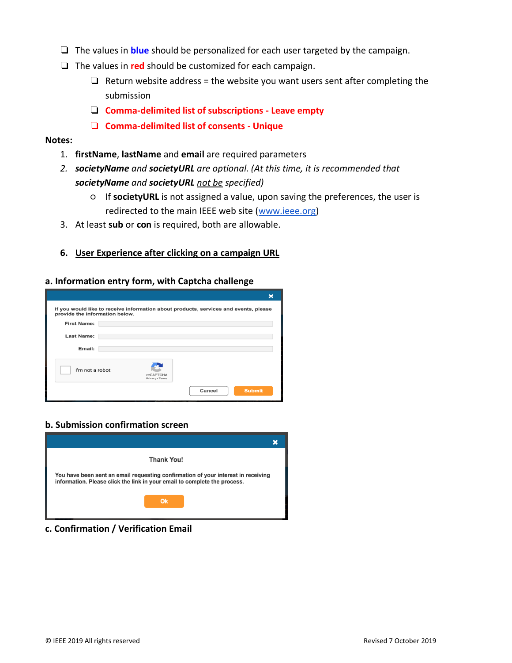- ❏ The values in **blue** should be personalized for each user targeted by the campaign.
- ❏ The values in **red** should be customized for each campaign.
	- $\Box$  Return website address = the website you want users sent after completing the submission
	- ❏ **Comma-delimited list of subscriptions - Leave empty**
	- ❏ **Comma-delimited list of consents - Unique**

#### **Notes:**

- 1. **firstName**, **lastName** and **email** are required parameters
- *2. societyName and societyURL are optional. (At this time, it is recommended that societyName and societyURL not be specified)*
	- If **societyURL** is not assigned a value, upon saving the preferences, the user is redirected to the main IEEE web site [\(www.ieee.org\)](http://www.ieee.org/)
- 3. At least **sub** or **con** is required, both are allowable.

#### **6. User Experience after clicking on a campaign URL**

#### **a. Information entry form, with Captcha challenge**

| provide the information below.<br><b>First Name:</b> |                              |  |
|------------------------------------------------------|------------------------------|--|
|                                                      |                              |  |
| Last Name:                                           |                              |  |
| Email:                                               |                              |  |
| I'm not a robot                                      |                              |  |
|                                                      | reCAPTCHA<br>Privacy - Terms |  |

#### **b. Submission confirmation screen**



**c. Confirmation / Verification Email**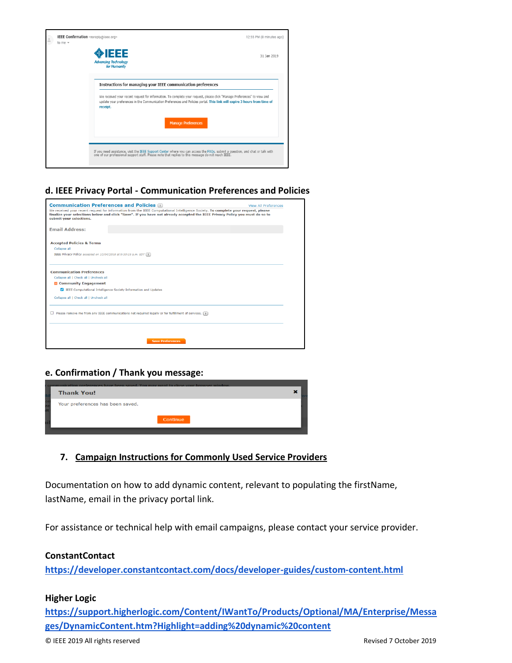

#### **d. IEEE Privacy Portal - Communication Preferences and Policies**

| <b>Communication Preferences and Policies</b>                                                                                                                                                                                                                                                | View All Preferences |
|----------------------------------------------------------------------------------------------------------------------------------------------------------------------------------------------------------------------------------------------------------------------------------------------|----------------------|
| We received your recent request for information from the IEEE Computational Intelligence Society. To complete your request, please<br>finalize your selections below and click "Save". If you have not already accepted the IEEE Privacy Policy you must do so to<br>submit your selections. |                      |
| <b>Email Address:</b>                                                                                                                                                                                                                                                                        |                      |
| <b>Accepted Policies &amp; Terms</b>                                                                                                                                                                                                                                                         |                      |
| Collapse all<br>IEEE Privacy Policy accepted on 10/04/2018 at 9:30:15 a.m. EDT [2]                                                                                                                                                                                                           |                      |
|                                                                                                                                                                                                                                                                                              |                      |
| <b>Communication Preferences</b>                                                                                                                                                                                                                                                             |                      |
| Collapse all   Check all   Uncheck all                                                                                                                                                                                                                                                       |                      |
| $\Box$ Community Engagement                                                                                                                                                                                                                                                                  |                      |
| Z IEEE Computational Intelligence Society Information and Updates                                                                                                                                                                                                                            |                      |
| Collapse all   Check all   Uncheck all                                                                                                                                                                                                                                                       |                      |
| $\Box$ Please remove me from any IEEE communications not required legally or for fulfillment of services. $\Box$                                                                                                                                                                             |                      |
|                                                                                                                                                                                                                                                                                              |                      |
|                                                                                                                                                                                                                                                                                              |                      |

## **e. Confirmation / Thank you message:**

| communication preferences have been saved. You may want to close your browser window.<br><b>Thank You!</b> |  |
|------------------------------------------------------------------------------------------------------------|--|
| Your preferences has been saved.<br>Continue                                                               |  |
|                                                                                                            |  |

## **7. Campaign Instructions for Commonly Used Service Providers**

Documentation on how to add dynamic content, relevant to populating the firstName, lastName, email in the privacy portal link.

For assistance or technical help with email campaigns, please contact your service provider.

#### **ConstantContact**

**<https://developer.constantcontact.com/docs/developer-guides/custom-content.html>**

#### **Higher Logic**

**[https://support.higherlogic.com/Content/IWantTo/Products/Optional/MA/Enterprise/Messa](https://support.higherlogic.com/Content/IWantTo/Products/Optional/MA/Enterprise/Messages/DynamicContent.htm?Highlight=adding%20dynamic%20content) [ges/DynamicContent.htm?Highlight=adding%20dynamic%20content](https://support.higherlogic.com/Content/IWantTo/Products/Optional/MA/Enterprise/Messages/DynamicContent.htm?Highlight=adding%20dynamic%20content)**